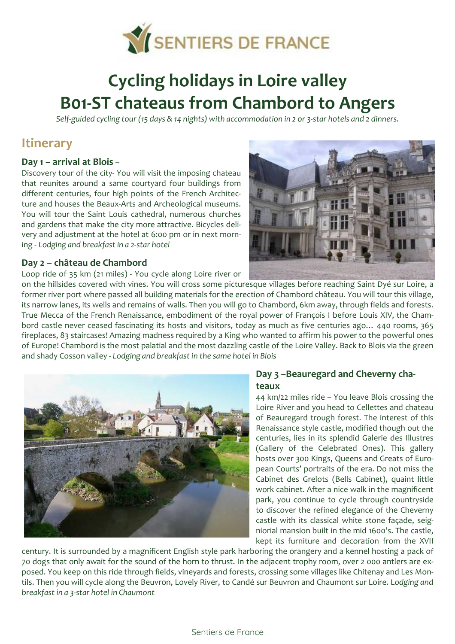

# **Cycling holidays in Loire valley B01-ST chateaus from Chambord to Angers**

*Self-guided cycling tour (15 days & 14 nights) with accommodation in 2 or 3-star hotels and 2 dinners.*

# **Itinerary**

#### **Day 1 – arrival at Blois –**

Discovery tour of the city- You will visit the imposing chateau that reunites around a same courtyard four buildings from different centuries, four high points of the French Architecture and houses the Beaux-Arts and Archeological museums. You will tour the Saint Louis cathedral, numerous churches and gardens that make the city more attractive. Bicycles delivery and adjustment at the hotel at 6:00 pm or in next morning - *Lodging and breakfast in a 2-star hotel* 

#### **Day 2 – château de Chambord**

Loop ride of 35 km (21 miles) - You cycle along Loire river or



on the hillsides covered with vines. You will cross some picturesque villages before reaching Saint Dyé sur Loire, a former river port where passed all building materials for the erection of Chambord château. You will tour this village, its narrow lanes, its wells and remains of walls. Then you will go to Chambord, 6km away, through fields and forests. True Mecca of the French Renaissance, embodiment of the royal power of François I before Louis XIV, the Chambord castle never ceased fascinating its hosts and visitors, today as much as five centuries ago… 440 rooms, 365 fireplaces, 83 staircases! Amazing madness required by a King who wanted to affirm his power to the powerful ones of Europe! Chambord is the most palatial and the most dazzling castle of the Loire Valley. Back to Blois via the green and shady Cosson valley - *Lodging and breakfast in the same hotel in Blois*



#### **Day 3 –Beauregard and Cheverny chateaux**

44 km/22 miles ride – You leave Blois crossing the Loire River and you head to Cellettes and chateau of Beauregard trough forest. The interest of this Renaissance style castle, modified though out the centuries, lies in its splendid Galerie des Illustres (Gallery of the Celebrated Ones). This gallery hosts over 300 Kings, Queens and Greats of European Courts' portraits of the era. Do not miss the Cabinet des Grelots (Bells Cabinet), quaint little work cabinet. After a nice walk in the magnificent park, you continue to cycle through countryside to discover the refined elegance of the Cheverny castle with its classical white stone façade, seigniorial mansion built in the mid 1600's. The castle, kept its furniture and decoration from the XVII

century. It is surrounded by a magnificent English style park harboring the orangery and a kennel hosting a pack of 70 dogs that only await for the sound of the horn to thrust. In the adjacent trophy room, over 2 000 antlers are exposed. You keep on this ride through fields, vineyards and forests, crossing some villages like Chitenay and Les Montils. Then you will cycle along the Beuvron, Lovely River, to Candé sur Beuvron and Chaumont sur Loire. L*odging and breakfast in a 3-star hotel in Chaumont*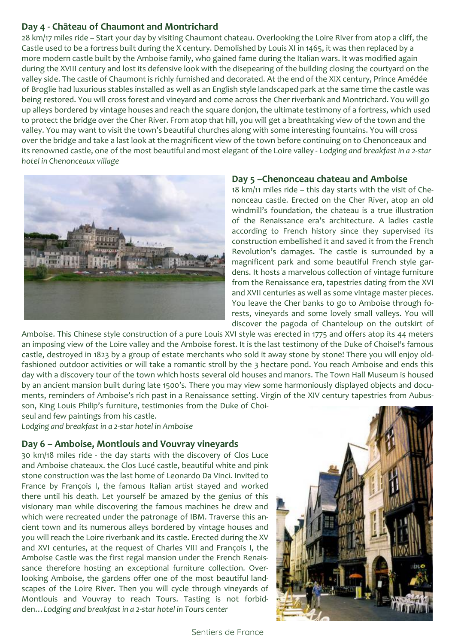## **Day 4 - Château of Chaumont and Montrichard**

28 km/17 miles ride – Start your day by visiting Chaumont chateau. Overlooking the Loire River from atop a cliff, the Castle used to be a fortress built during the X century. Demolished by Louis XI in 1465, it was then replaced by a more modern castle built by the Amboise family, who gained fame during the Italian wars. It was modified again during the XVIII century and lost its defensive look with the disepearing of the building closing the courtyard on the valley side. The castle of Chaumont is richly furnished and decorated. At the end of the XIX century, Prince Amédée of Broglie had luxurious stables installed as well as an English style landscaped park at the same time the castle was being restored. You will cross forest and vineyard and come across the Cher riverbank and Montrichard. You will go up alleys bordered by vintage houses and reach the square donjon, the ultimate testimony of a fortress, which used to protect the bridge over the Cher River. From atop that hill, you will get a breathtaking view of the town and the valley. You may want to visit the town's beautiful churches along with some interesting fountains. You will cross over the bridge and take a last look at the magnificent view of the town before continuing on to Chenonceaux and its renowned castle, one of the most beautiful and most elegant of the Loire valley - *Lodging and breakfast in a 2-star hotel in Chenonceaux village*



#### **Day 5 –Chenonceau chateau and Amboise**

18 km/11 miles ride – this day starts with the visit of Chenonceau castle. Erected on the Cher River, atop an old windmill's foundation, the chateau is a true illustration of the Renaissance era's architecture. A ladies castle according to French history since they supervised its construction embellished it and saved it from the French Revolution's damages. The castle is surrounded by a magnificent park and some beautiful French style gardens. It hosts a marvelous collection of vintage furniture from the Renaissance era, tapestries dating from the XVI and XVII centuries as well as some vintage master pieces. You leave the Cher banks to go to Amboise through forests, vineyards and some lovely small valleys. You will discover the pagoda of Chanteloup on the outskirt of

Amboise. This Chinese style construction of a pure Louis XVI style was erected in 1775 and offers atop its 44 meters an imposing view of the Loire valley and the Amboise forest. It is the last testimony of the Duke of Choisel's famous castle, destroyed in 1823 by a group of estate merchants who sold it away stone by stone! There you will enjoy oldfashioned outdoor activities or will take a romantic stroll by the 3 hectare pond. You reach Amboise and ends this day with a discovery tour of the town which hosts several old houses and manors. The Town Hall Museum is housed by an ancient mansion built during late 1500's. There you may view some harmoniously displayed objects and documents, reminders of Amboise's rich past in a Renaissance setting. Virgin of the XIV century tapestries from Aubusson, King Louis Philip's furniture, testimonies from the Duke of Choi-

seul and few paintings from his castle.

*Lodging and breakfast in a 2-star hotel in Amboise* 

#### **Day 6 – Amboise, Montlouis and Vouvray vineyards**

30 km/18 miles ride - the day starts with the discovery of Clos Luce and Amboise chateaux. the Clos Lucé castle, beautiful white and pink stone construction was the last home of Leonardo Da Vinci. Invited to France by François I, the famous Italian artist stayed and worked there until his death. Let yourself be amazed by the genius of this visionary man while discovering the famous machines he drew and which were recreated under the patronage of IBM. Traverse this ancient town and its numerous alleys bordered by vintage houses and you will reach the Loire riverbank and its castle. Erected during the XV and XVI centuries, at the request of Charles VIII and François I, the Amboise Castle was the first regal mansion under the French Renaissance therefore hosting an exceptional furniture collection. Overlooking Amboise, the gardens offer one of the most beautiful landscapes of the Loire River. Then you will cycle through vineyards of Montlouis and Vouvray to reach Tours. Tasting is not forbidden…*Lodging and breakfast in a 2-star hotel in Tours center*

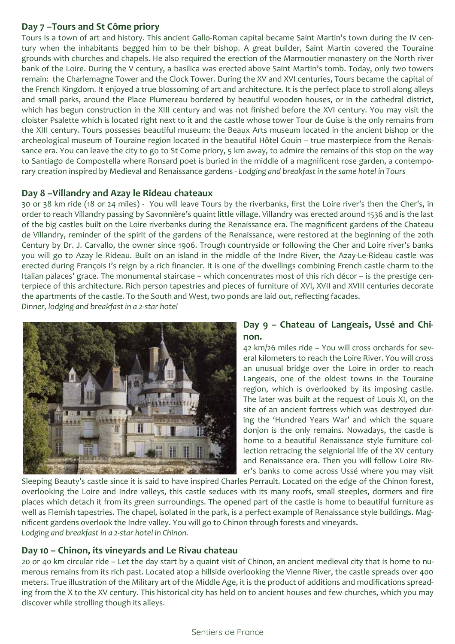## **Day 7 –Tours and St Côme priory**

Tours is a town of art and history. This ancient Gallo-Roman capital became Saint Martin's town during the IV century when the inhabitants begged him to be their bishop. A great builder, Saint Martin covered the Touraine grounds with churches and chapels. He also required the erection of the Marmoutier monastery on the North river bank of the Loire. During the V century, a basilica was erected above Saint Martin's tomb. Today, only two towers remain: the Charlemagne Tower and the Clock Tower. During the XV and XVI centuries, Tours became the capital of the French Kingdom. It enjoyed a true blossoming of art and architecture. It is the perfect place to stroll along alleys and small parks, around the Place Plumereau bordered by beautiful wooden houses, or in the cathedral district, which has begun construction in the XIII century and was not finished before the XVI century. You may visit the cloister Psalette which is located right next to it and the castle whose tower Tour de Guise is the only remains from the XIII century. Tours possesses beautiful museum: the Beaux Arts museum located in the ancient bishop or the archeological museum of Touraine region located in the beautiful Hôtel Gouin – true masterpiece from the Renaissance era. You can leave the city to go to St Come priory, 5 km away, to admire the remains of this stop on the way to Santiago de Compostella where Ronsard poet is buried in the middle of a magnificent rose garden, a contemporary creation inspired by Medieval and Renaissance gardens - *Lodging and breakfast in the same hotel in Tours* 

## **Day 8 –Villandry and Azay le Rideau chateaux**

30 or 38 km ride (18 or 24 miles) - You will leave Tours by the riverbanks, first the Loire river's then the Cher's, in order to reach Villandry passing by Savonnière's quaint little village. Villandry was erected around 1536 and is the last of the big castles built on the Loire riverbanks during the Renaissance era. The magnificent gardens of the Chateau de Villandry, reminder of the spirit of the gardens of the Renaissance, were restored at the beginning of the 20th Century by Dr. J. Carvallo, the owner since 1906. Trough countryside or following the Cher and Loire river's banks you will go to Azay le Rideau. Built on an island in the middle of the Indre River, the Azay-Le-Rideau castle was erected during François I's reign by a rich financier. It is one of the dwellings combining French castle charm to the Italian palaces' grace. The monumental staircase – which concentrates most of this rich décor – is the prestige centerpiece of this architecture. Rich person tapestries and pieces of furniture of XVI, XVII and XVIII centuries decorate the apartments of the castle. To the South and West, two ponds are laid out, reflecting facades. *Dinner, lodging and breakfast in a 2-star hotel* 



## **Day 9 – Chateau of Langeais, Ussé and Chinon.**

42 km/26 miles ride – You will cross orchards for several kilometers to reach the Loire River. You will cross an unusual bridge over the Loire in order to reach Langeais, one of the oldest towns in the Touraine region, which is overlooked by its imposing castle. The later was built at the request of Louis XI, on the site of an ancient fortress which was destroyed during the 'Hundred Years War' and which the square donjon is the only remains. Nowadays, the castle is home to a beautiful Renaissance style furniture collection retracing the seigniorial life of the XV century and Renaissance era. Then you will follow Loire River's banks to come across Ussé where you may visit

Sleeping Beauty's castle since it is said to have inspired Charles Perrault. Located on the edge of the Chinon forest, overlooking the Loire and Indre valleys, this castle seduces with its many roofs, small steeples, dormers and fire places which detach it from its green surroundings. The opened part of the castle is home to beautiful furniture as well as Flemish tapestries. The chapel, isolated in the park, is a perfect example of Renaissance style buildings. Magnificent gardens overlook the Indre valley. You will go to Chinon through forests and vineyards. *Lodging and breakfast in a 2-star hotel in Chinon.*

#### **Day 10 – Chinon, its vineyards and Le Rivau chateau**

20 or 40 km circular ride – Let the day start by a quaint visit of Chinon, an ancient medieval city that is home to numerous remains from its rich past. Located atop a hillside overlooking the Vienne River, the castle spreads over 400 meters. True illustration of the Military art of the Middle Age, it is the product of additions and modifications spreading from the X to the XV century. This historical city has held on to ancient houses and few churches, which you may discover while strolling though its alleys.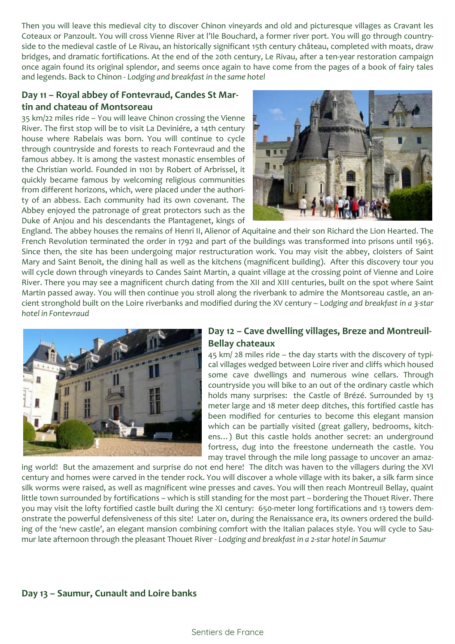Then you will leave this medieval city to discover Chinon vineyards and old and picturesque villages as Cravant les Coteaux or Panzoult. You will cross Vienne River at l'Ile Bouchard, a former river port. You will go through countryside to the medieval castle of Le Rivau, an historically significant 15th century château, completed with moats, draw bridges, and dramatic fortifications. At the end of the 20th century, Le Rivau, after a ten-year restoration campaign once again found its original splendor, and seems once again to have come from the pages of a book of fairy tales and legends. Back to Chinon - *Lodging and breakfast in the same hotel* 

### **Day 11 – Royal abbey of Fontevraud, Candes St Martin and chateau of Montsoreau**

35 km/22 miles ride – You will leave Chinon crossing the Vienne River. The first stop will be to visit La Deviniére, a 14th century house where Rabelais was born. You will continue to cycle through countryside and forests to reach Fontevraud and the famous abbey. It is among the vastest monastic ensembles of the Christian world. Founded in 1101 by Robert of Arbrissel, it quickly became famous by welcoming religious communities from different horizons, which, were placed under the authority of an abbess. Each community had its own covenant. The Abbey enjoyed the patronage of great protectors such as the Duke of Anjou and his descendants the Plantagenet, kings of



England. The abbey houses the remains of Henri II, Alienor of Aquitaine and their son Richard the Lion Hearted. The French Revolution terminated the order in 1792 and part of the buildings was transformed into prisons until 1963. Since then, the site has been undergoing major restructuration work. You may visit the abbey, cloisters of Saint Mary and Saint Benoit, the dining hall as well as the kitchens (magnificent building). After this discovery tour you will cycle down through vineyards to Candes Saint Martin, a quaint village at the crossing point of Vienne and Loire River. There you may see a magnificent church dating from the XII and XIII centuries, built on the spot where Saint Martin passed away. You will then continue you stroll along the riverbank to admire the Montsoreau castle, an ancient stronghold built on the Loire riverbanks and modified during the XV century – L*odging and breakfast in a 3-star hotel in Fontevraud* 



## **Day 12 – Cave dwelling villages, Breze and Montreuil-Bellay chateaux**

45 km/ 28 miles ride – the day starts with the discovery of typical villages wedged between Loire river and cliffs which housed some cave dwellings and numerous wine cellars. Through countryside you will bike to an out of the ordinary castle which holds many surprises: the Castle of Brézé. Surrounded by 13 meter large and 18 meter deep ditches, this fortified castle has been modified for centuries to become this elegant mansion which can be partially visited (great gallery, bedrooms, kitchens…) But this castle holds another secret: an underground fortress, dug into the freestone underneath the castle. You may travel through the mile long passage to uncover an amaz-

ing world! But the amazement and surprise do not end here! The ditch was haven to the villagers during the XVI century and homes were carved in the tender rock. You will discover a whole village with its baker, a silk farm since silk worms were raised, as well as magnificent wine presses and caves. You will then reach Montreuil Bellay, quaint little town surrounded by fortifications – which is still standing for the most part – bordering the Thouet River. There you may visit the lofty fortified castle built during the XI century: 650-meter long fortifications and 13 towers demonstrate the powerful defensiveness of this site! Later on, during the Renaissance era, its owners ordered the building of the 'new castle', an elegant mansion combining comfort with the Italian palaces style. You will cycle to Saumur late afternoon through the pleasant Thouet River - *Lodging and breakfast in a 2-star hotel in Saumur*

#### **Day 13 – Saumur, Cunault and Loire banks**